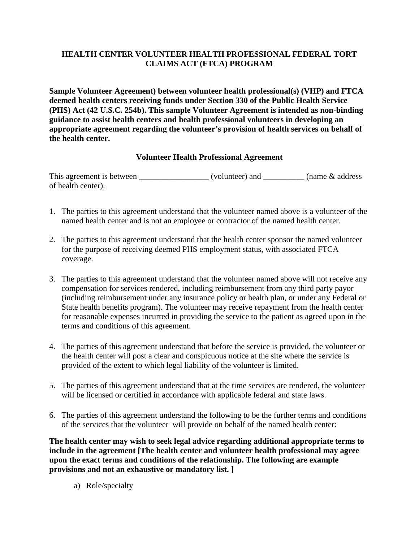## **HEALTH CENTER VOLUNTEER HEALTH PROFESSIONAL FEDERAL TORT CLAIMS ACT (FTCA) PROGRAM**

**Sample Volunteer Agreement) between volunteer health professional(s) (VHP) and FTCA deemed health centers receiving funds under Section 330 of the Public Health Service (PHS) Act (42 U.S.C. 254b). This sample Volunteer Agreement is intended as non-binding guidance to assist health centers and health professional volunteers in developing an appropriate agreement regarding the volunteer's provision of health services on behalf of the health center.** 

## **Volunteer Health Professional Agreement**

This agreement is between \_\_\_\_\_\_\_\_\_\_\_\_\_\_\_\_\_ (volunteer) and \_\_\_\_\_\_\_\_\_\_ (name & address of health center).

- 1. The parties to this agreement understand that the volunteer named above is a volunteer of the named health center and is not an employee or contractor of the named health center.
- 2. The parties to this agreement understand that the health center sponsor the named volunteer for the purpose of receiving deemed PHS employment status, with associated FTCA coverage.
- 3. The parties to this agreement understand that the volunteer named above will not receive any compensation for services rendered, including reimbursement from any third party payor (including reimbursement under any insurance policy or health plan, or under any Federal or State health benefits program). The volunteer may receive repayment from the health center for reasonable expenses incurred in providing the service to the patient as agreed upon in the terms and conditions of this agreement.
- 4. The parties of this agreement understand that before the service is provided, the volunteer or the health center will post a clear and conspicuous notice at the site where the service is provided of the extent to which legal liability of the volunteer is limited.
- 5. The parties of this agreement understand that at the time services are rendered, the volunteer will be licensed or certified in accordance with applicable federal and state laws.
- 6. The parties of this agreement understand the following to be the further terms and conditions of the services that the volunteer will provide on behalf of the named health center:

**The health center may wish to seek legal advice regarding additional appropriate terms to include in the agreement [The health center and volunteer health professional may agree upon the exact terms and conditions of the relationship. The following are example provisions and not an exhaustive or mandatory list. ]**

a) Role/specialty